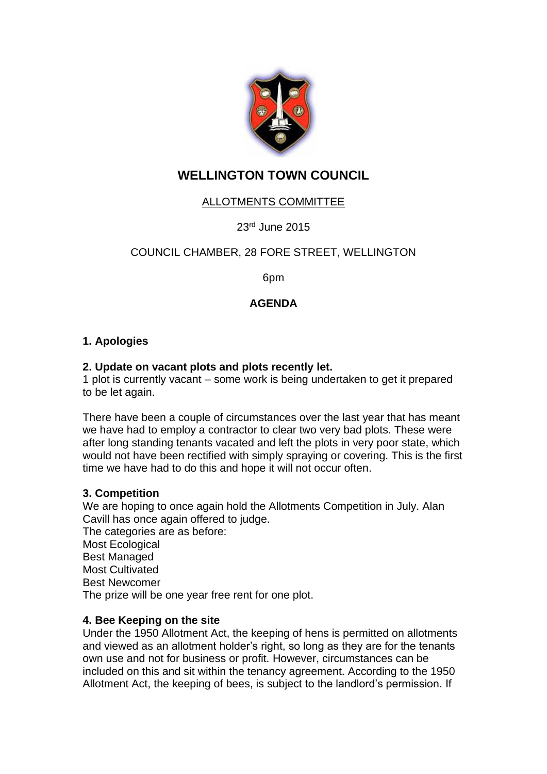

# **WELLINGTON TOWN COUNCIL**

## ALLOTMENTS COMMITTEE

23<sup>rd</sup> June 2015

## COUNCIL CHAMBER, 28 FORE STREET, WELLINGTON

6pm

## **AGENDA**

## **1. Apologies**

#### **2. Update on vacant plots and plots recently let.**

1 plot is currently vacant – some work is being undertaken to get it prepared to be let again.

There have been a couple of circumstances over the last year that has meant we have had to employ a contractor to clear two very bad plots. These were after long standing tenants vacated and left the plots in very poor state, which would not have been rectified with simply spraying or covering. This is the first time we have had to do this and hope it will not occur often.

#### **3. Competition**

We are hoping to once again hold the Allotments Competition in July. Alan Cavill has once again offered to judge. The categories are as before: Most Ecological Best Managed Most Cultivated Best Newcomer The prize will be one year free rent for one plot.

#### **4. Bee Keeping on the site**

Under the 1950 Allotment Act, the keeping of hens is permitted on allotments and viewed as an allotment holder's right, so long as they are for the tenants own use and not for business or profit. However, circumstances can be included on this and sit within the tenancy agreement. According to the 1950 Allotment Act, the keeping of bees, is subject to the landlord's permission. If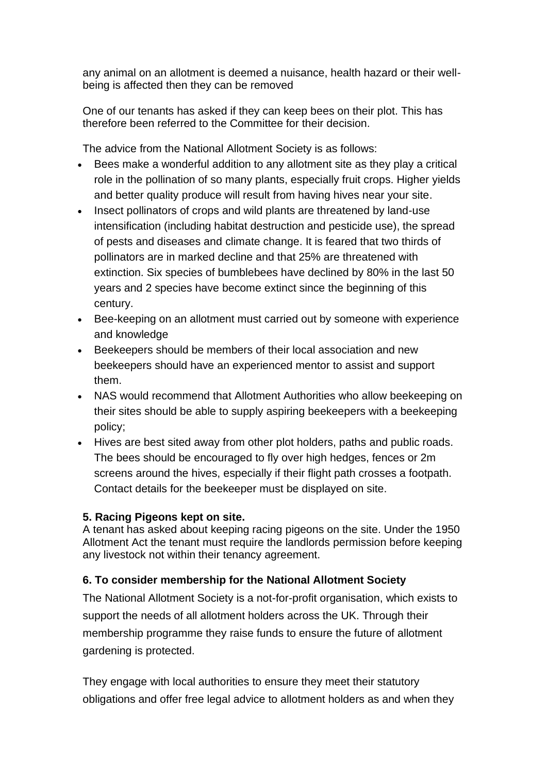any animal on an allotment is deemed a nuisance, health hazard or their wellbeing is affected then they can be removed

One of our tenants has asked if they can keep bees on their plot. This has therefore been referred to the Committee for their decision.

The advice from the National Allotment Society is as follows:

- Bees make a wonderful addition to any allotment site as they play a critical role in the pollination of so many plants, especially fruit crops. Higher yields and better quality produce will result from having hives near your site.
- Insect pollinators of crops and wild plants are threatened by land-use intensification (including habitat destruction and pesticide use), the spread of pests and diseases and climate change. It is feared that two thirds of pollinators are in marked decline and that 25% are threatened with extinction. Six species of bumblebees have declined by 80% in the last 50 years and 2 species have become extinct since the beginning of this century.
- Bee-keeping on an allotment must carried out by someone with experience and knowledge
- Beekeepers should be members of their local association and new beekeepers should have an experienced mentor to assist and support them.
- NAS would recommend that Allotment Authorities who allow beekeeping on their sites should be able to supply aspiring beekeepers with a beekeeping policy;
- Hives are best sited away from other plot holders, paths and public roads. The bees should be encouraged to fly over high hedges, fences or 2m screens around the hives, especially if their flight path crosses a footpath. Contact details for the beekeeper must be displayed on site.

## **5. Racing Pigeons kept on site.**

A tenant has asked about keeping racing pigeons on the site. Under the 1950 Allotment Act the tenant must require the landlords permission before keeping any livestock not within their tenancy agreement.

## **6. To consider membership for the National Allotment Society**

The National Allotment Society is a not-for-profit organisation, which exists to support the needs of all allotment holders across the UK. Through their membership programme they raise funds to ensure the future of allotment gardening is protected.

They engage with local authorities to ensure they meet their statutory obligations and offer free legal advice to allotment holders as and when they